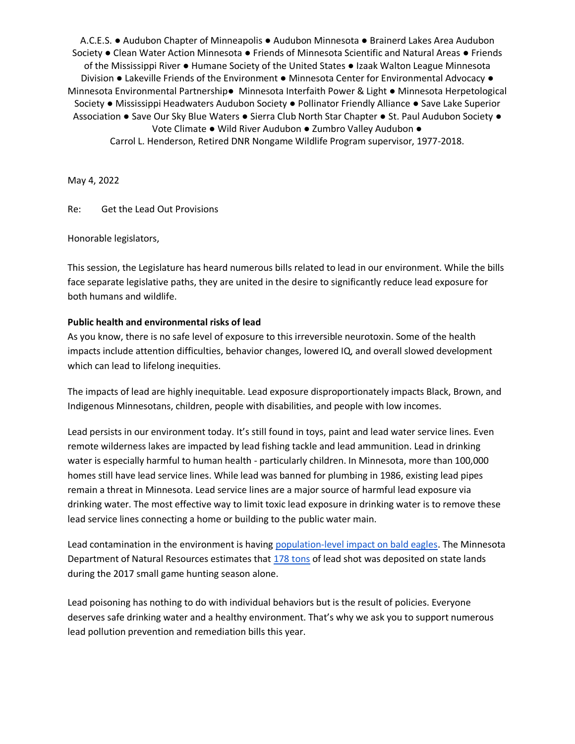A.C.E.S. ● Audubon Chapter of Minneapolis ● Audubon Minnesota ● Brainerd Lakes Area Audubon Society ● Clean Water Action Minnesota ● Friends of Minnesota Scientific and Natural Areas ● Friends of the Mississippi River ● Humane Society of the United States ● Izaak Walton League Minnesota Division ● Lakeville Friends of the Environment ● Minnesota Center for Environmental Advocacy ● Minnesota Environmental Partnership● Minnesota Interfaith Power & Light ● Minnesota Herpetological Society ● Mississippi Headwaters Audubon Society ● Pollinator Friendly Alliance ● Save Lake Superior Association ● Save Our Sky Blue Waters ● Sierra Club North Star Chapter ● St. Paul Audubon Society ● Vote Climate ● Wild River Audubon ● Zumbro Valley Audubon ● Carrol L. Henderson, Retired DNR Nongame Wildlife Program supervisor, 1977-2018.

May 4, 2022

Re: Get the Lead Out Provisions

Honorable legislators,

This session, the Legislature has heard numerous bills related to lead in our environment. While the bills face separate legislative paths, they are united in the desire to significantly reduce lead exposure for both humans and wildlife.

## **Public health and environmental risks of lead**

As you know, there is no safe level of exposure to this irreversible neurotoxin. Some of the health impacts include attention difficulties, behavior changes, lowered IQ, and overall slowed development which can lead to lifelong inequities.

The impacts of lead are highly inequitable. Lead exposure disproportionately impacts Black, Brown, and Indigenous Minnesotans, children, people with disabilities, and people with low incomes.

Lead persists in our environment today. It's still found in toys, paint and lead water service lines. Even remote wilderness lakes are impacted by lead fishing tackle and lead ammunition. Lead in drinking water is especially harmful to human health - particularly children. In Minnesota, more than 100,000 homes still have lead service lines. While lead was banned for plumbing in 1986, existing lead pipes remain a threat in Minnesota. Lead service lines are a major source of harmful lead exposure via drinking water. The most effective way to limit toxic lead exposure in drinking water is to remove these lead service lines connecting a home or building to the public water main.

Lead contamination in the environment is having [population-level impact on bald eagles.](https://www.audubon.org/news/lead-bullets-are-stunting-bald-eagles-recovery) The Minnesota Department of Natural Resources estimates that [178 tons](https://files.dnr.state.mn.us/aboutdnr/reports/legislative/2018-lead-shot.pdf) of lead shot was deposited on state lands during the 2017 small game hunting season alone.

Lead poisoning has nothing to do with individual behaviors but is the result of policies. Everyone deserves safe drinking water and a healthy environment. That's why we ask you to support numerous lead pollution prevention and remediation bills this year.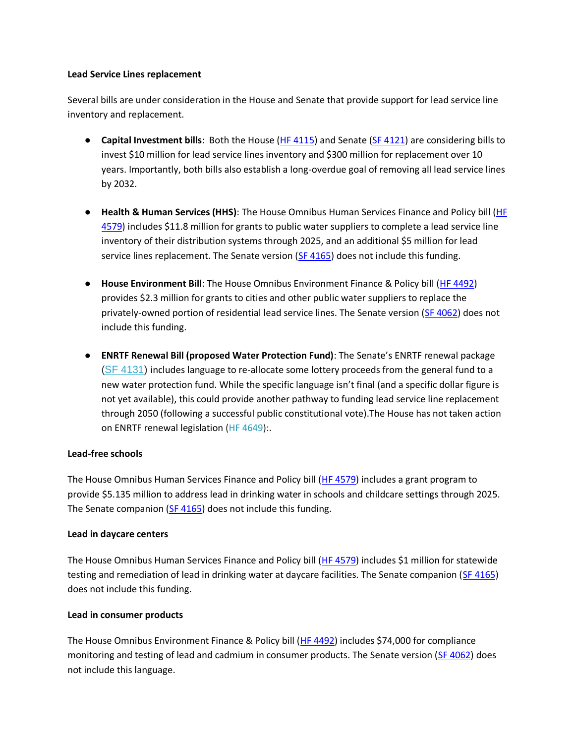#### **Lead Service Lines replacement**

Several bills are under consideration in the House and Senate that provide support for lead service line inventory and replacement.

- **Capital Investment bills**: Both the House [\(HF 4115\)](http://wdoc.house.leg.state.mn.us/leg/LS92/HF4115.1.pdf) and Senate [\(SF 4121\)](https://www.revisor.mn.gov/bills/bill.php?b=Senate&f=SF4121&ssn=0&y=2021) are considering bills to invest \$10 million for lead service lines inventory and \$300 million for replacement over 10 years. Importantly, both bills also establish a long-overdue goal of removing all lead service lines by 2032.
- **Health & Human Services (HHS)**: The House Omnibus Human Services Finance and Policy bill (HF [4579\)](https://www.house.leg.state.mn.us/comm/docs/MgEIAFDJjUqDdMa9uGBGDA.pdf) includes \$11.8 million for grants to public water suppliers to complete a lead service line inventory of their distribution systems through 2025, and an additional \$5 million for lead service lines replacement. The Senate version [\(SF 4165\)](https://www.revisor.mn.gov/bills/text.php?number=SF4165&version=latest&session=ls92&session_year=2022&session_number=0&format=pdf) does not include this funding.
- **House Environment Bill**: The House Omnibus Environment Finance & Policy bill [\(HF 4492\)](https://www.house.leg.state.mn.us/comm/docs/GPkOvv3T0kS63_w4s7t-RA.pdf) provides \$2.3 million for grants to cities and other public water suppliers to replace the privately-owned portion of residential lead service lines. The Senate version [\(SF 4062\)](https://www.revisor.mn.gov/bills/text.php?number=SF4062&version=2&session=ls92&session_year=2022&session_number=0&format=pdf) does not include this funding.
- **ENRTF Renewal Bill (proposed Water Protection Fund)**: The Senate's ENRTF renewal package [\(SF 4131\)](https://www.revisor.mn.gov/bills/bill.php?b=Senate&f=SF4131&ssn=0&y=2021) includes language to re-allocate some lottery proceeds from the general fund to a new water protection fund. While the specific language isn't final (and a specific dollar figure is not yet available), this could provide another pathway to funding lead service line replacement through 2050 (following a successful public constitutional vote).The House has not taken action on ENRTF renewal legislation [\(HF 4649\)](https://www.revisor.mn.gov/bills/bill.php?f=HF4649&y=2022&ssn=0&b=house):.

## **Lead-free schools**

The House Omnibus Human Services Finance and Policy bill [\(HF 4579\)](https://www.house.leg.state.mn.us/comm/docs/MgEIAFDJjUqDdMa9uGBGDA.pdf) includes a grant program to provide \$5.135 million to address lead in drinking water in schools and childcare settings through 2025. The Senate companion [\(SF 4165\)](https://www.revisor.mn.gov/bills/text.php?number=SF4165&version=latest&session=ls92&session_year=2022&session_number=0&format=pdf) does not include this funding.

## **Lead in daycare centers**

The House Omnibus Human Services Finance and Policy bill [\(HF 4579\)](https://www.house.leg.state.mn.us/comm/docs/MgEIAFDJjUqDdMa9uGBGDA.pdf) includes \$1 million for statewide testing and remediation of lead in drinking water at daycare facilities. The Senate companion [\(SF 4165\)](https://www.revisor.mn.gov/bills/text.php?number=SF4165&version=latest&session=ls92&session_year=2022&session_number=0&format=pdf) does not include this funding.

## **Lead in consumer products**

The House Omnibus Environment Finance & Policy bill [\(HF 4492\)](https://www.house.leg.state.mn.us/comm/docs/GPkOvv3T0kS63_w4s7t-RA.pdf) includes \$74,000 for compliance monitoring and testing of lead and cadmium in consumer products. The Senate version [\(SF 4062\)](https://www.revisor.mn.gov/bills/text.php?number=SF4062&version=2&session=ls92&session_year=2022&session_number=0&format=pdf) does not include this language.